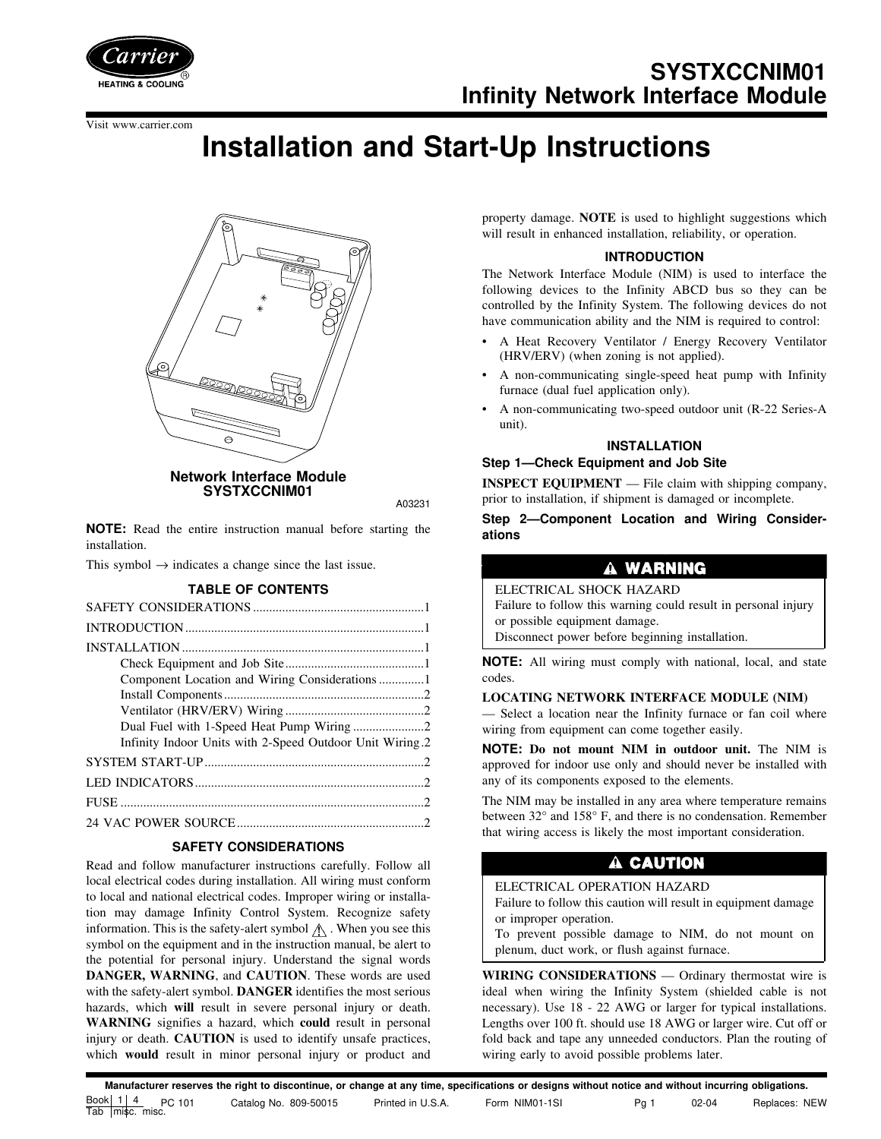

**SYSTXCCNIM01 Infinity Network Interface Module**

Visit www.carrier.com

# **Installation and Start-Up Instructions**



A03231

**NOTE:** Read the entire instruction manual before starting the installation.

This symbol  $\rightarrow$  indicates a change since the last issue.

# **TABLE OF CONTENTS**

| Infinity Indoor Units with 2-Speed Outdoor Unit Wiring.2 |
|----------------------------------------------------------|
|                                                          |
|                                                          |
|                                                          |
|                                                          |

# **SAFETY CONSIDERATIONS**

Read and follow manufacturer instructions carefully. Follow all local electrical codes during installation. All wiring must conform to local and national electrical codes. Improper wiring or installation may damage Infinity Control System. Recognize safety information. This is the safety-alert symbol  $\Lambda$ . When you see this symbol on the equipment and in the instruction manual, be alert to the potential for personal injury. Understand the signal words **DANGER, WARNING**, and **CAUTION**. These words are used with the safety-alert symbol. **DANGER** identifies the most serious hazards, which **will** result in severe personal injury or death. **WARNING** signifies a hazard, which **could** result in personal injury or death. **CAUTION** is used to identify unsafe practices, which **would** result in minor personal injury or product and property damage. **NOTE** is used to highlight suggestions which will result in enhanced installation, reliability, or operation.

# **INTRODUCTION**

The Network Interface Module (NIM) is used to interface the following devices to the Infinity ABCD bus so they can be controlled by the Infinity System. The following devices do not have communication ability and the NIM is required to control:

- A Heat Recovery Ventilator / Energy Recovery Ventilator (HRV/ERV) (when zoning is not applied).
- A non-communicating single-speed heat pump with Infinity furnace (dual fuel application only).
- A non-communicating two-speed outdoor unit (R-22 Series-A unit).

# **INSTALLATION**

#### **Step 1—Check Equipment and Job Site**

**INSPECT EQUIPMENT** — File claim with shipping company, prior to installation, if shipment is damaged or incomplete.

**Step 2—Component Location and Wiring Considerations**

# A WARNING

ELECTRICAL SHOCK HAZARD Failure to follow this warning could result in personal injury

or possible equipment damage.

Disconnect power before beginning installation.

**NOTE:** All wiring must comply with national, local, and state codes.

#### **LOCATING NETWORK INTERFACE MODULE (NIM)**

— Select a location near the Infinity furnace or fan coil where wiring from equipment can come together easily.

**NOTE: Do not mount NIM in outdoor unit.** The NIM is approved for indoor use only and should never be installed with any of its components exposed to the elements.

The NIM may be installed in any area where temperature remains between 32° and 158° F, and there is no condensation. Remember that wiring access is likely the most important consideration.

# A CAUTION

# ELECTRICAL OPERATION HAZARD

Failure to follow this caution will result in equipment damage or improper operation.

To prevent possible damage to NIM, do not mount on plenum, duct work, or flush against furnace.

**WIRING CONSIDERATIONS** — Ordinary thermostat wire is ideal when wiring the Infinity System (shielded cable is not necessary). Use 18 - 22 AWG or larger for typical installations. Lengths over 100 ft. should use 18 AWG or larger wire. Cut off or fold back and tape any unneeded conductors. Plan the routing of wiring early to avoid possible problems later.

**Manufacturer reserves the right to discontinue, or change at any time, specifications or designs without notice and without incurring obligations.** Book  $1 \mid 4$ Tab misc. misc. PC 101 Catalog No. 809-50015 Printed in U.S.A. Form NIM01-1SI Pg 1 02-04 Replaces: NEW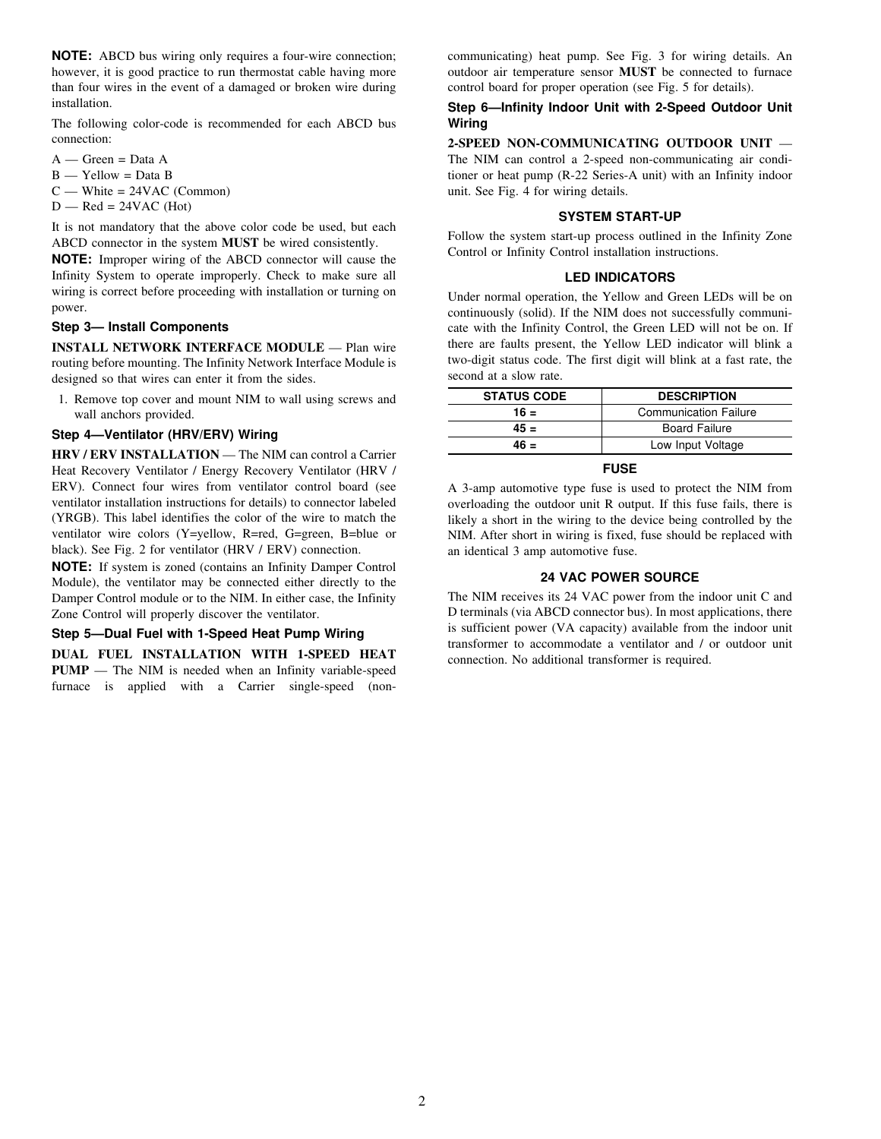**NOTE:** ABCD bus wiring only requires a four-wire connection; however, it is good practice to run thermostat cable having more than four wires in the event of a damaged or broken wire during installation.

The following color-code is recommended for each ABCD bus connection:

- $A Green = Data A$
- $B Y$ ellow = Data B
- $C$  White = 24VAC (Common)
- $D$  Red = 24VAC (Hot)

It is not mandatory that the above color code be used, but each ABCD connector in the system **MUST** be wired consistently.

**NOTE:** Improper wiring of the ABCD connector will cause the Infinity System to operate improperly. Check to make sure all wiring is correct before proceeding with installation or turning on power.

#### **Step 3— Install Components**

**INSTALL NETWORK INTERFACE MODULE** — Plan wire routing before mounting. The Infinity Network Interface Module is designed so that wires can enter it from the sides.

1. Remove top cover and mount NIM to wall using screws and wall anchors provided.

# **Step 4—Ventilator (HRV/ERV) Wiring**

**HRV / ERV INSTALLATION** — The NIM can control a Carrier Heat Recovery Ventilator / Energy Recovery Ventilator (HRV / ERV). Connect four wires from ventilator control board (see ventilator installation instructions for details) to connector labeled (YRGB). This label identifies the color of the wire to match the ventilator wire colors (Y=yellow, R=red, G=green, B=blue or black). See Fig. 2 for ventilator (HRV / ERV) connection.

**NOTE:** If system is zoned (contains an Infinity Damper Control Module), the ventilator may be connected either directly to the Damper Control module or to the NIM. In either case, the Infinity Zone Control will properly discover the ventilator.

#### **Step 5—Dual Fuel with 1-Speed Heat Pump Wiring**

**DUAL FUEL INSTALLATION WITH 1-SPEED HEAT PUMP** — The NIM is needed when an Infinity variable-speed furnace is applied with a Carrier single-speed (non-

communicating) heat pump. See Fig. 3 for wiring details. An outdoor air temperature sensor **MUST** be connected to furnace control board for proper operation (see Fig. 5 for details).

#### **Step 6—Infinity Indoor Unit with 2-Speed Outdoor Unit Wiring**

#### **2-SPEED NON-COMMUNICATING OUTDOOR UNIT** —

The NIM can control a 2-speed non-communicating air conditioner or heat pump (R-22 Series-A unit) with an Infinity indoor unit. See Fig. 4 for wiring details.

#### **SYSTEM START-UP**

Follow the system start-up process outlined in the Infinity Zone Control or Infinity Control installation instructions.

#### **LED INDICATORS**

Under normal operation, the Yellow and Green LEDs will be on continuously (solid). If the NIM does not successfully communicate with the Infinity Control, the Green LED will not be on. If there are faults present, the Yellow LED indicator will blink a two-digit status code. The first digit will blink at a fast rate, the second at a slow rate.

| <b>STATUS CODE</b> | <b>DESCRIPTION</b>           |
|--------------------|------------------------------|
| $16 =$             | <b>Communication Failure</b> |
| $45 =$             | <b>Board Failure</b>         |
| $46 =$             | Low Input Voltage            |
|                    |                              |

# **FUSE**

A 3-amp automotive type fuse is used to protect the NIM from overloading the outdoor unit R output. If this fuse fails, there is likely a short in the wiring to the device being controlled by the NIM. After short in wiring is fixed, fuse should be replaced with an identical 3 amp automotive fuse.

#### **24 VAC POWER SOURCE**

The NIM receives its 24 VAC power from the indoor unit C and D terminals (via ABCD connector bus). In most applications, there is sufficient power (VA capacity) available from the indoor unit transformer to accommodate a ventilator and / or outdoor unit connection. No additional transformer is required.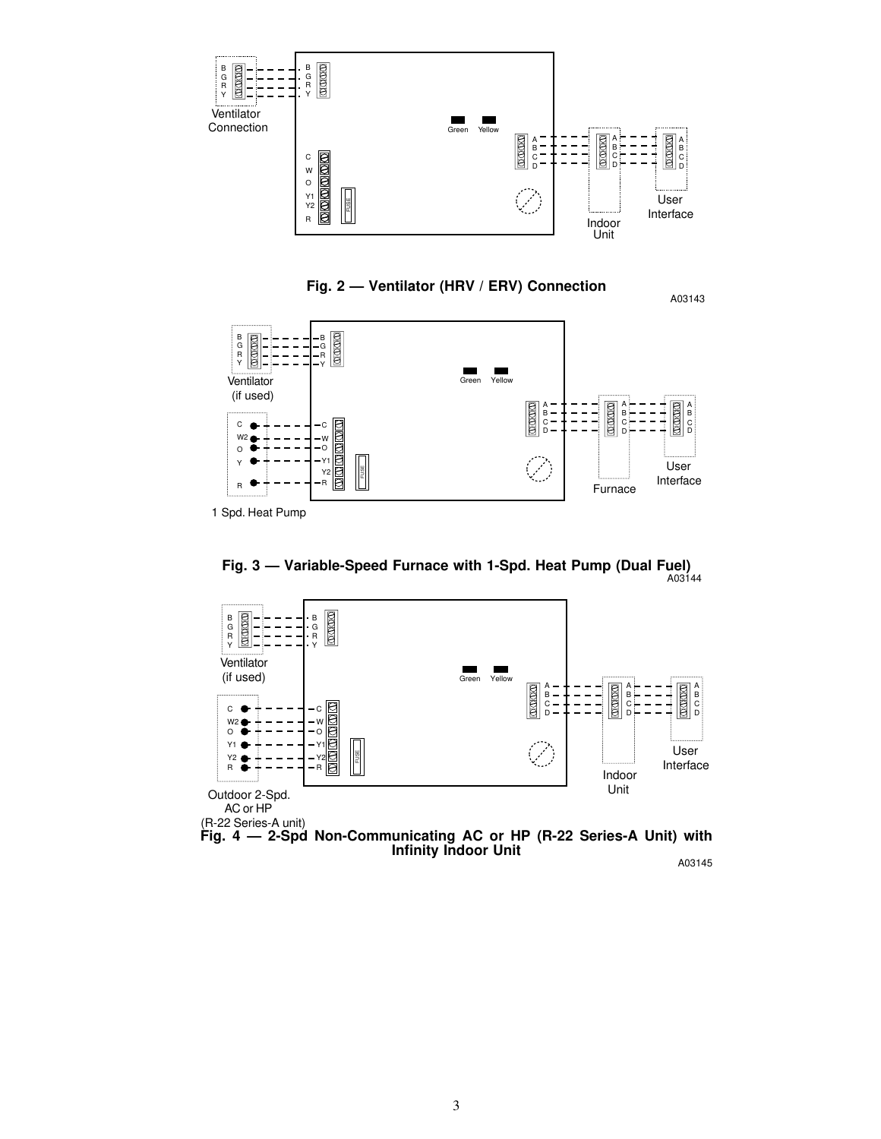

**Fig. 2 — Ventilator (HRV / ERV) Connection**



1 Spd. Heat Pump





A03143